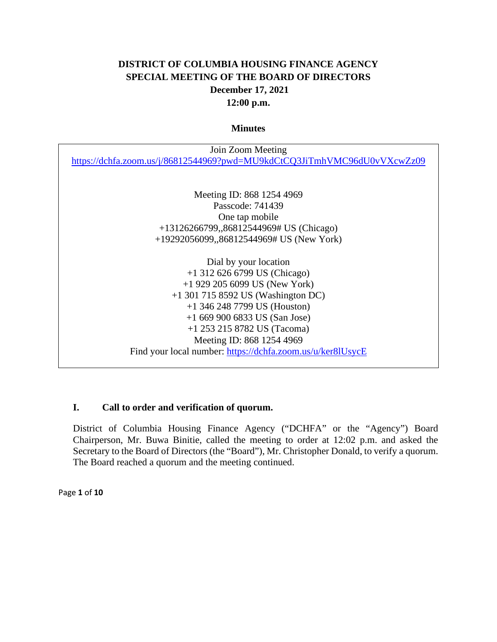# **DISTRICT OF COLUMBIA HOUSING FINANCE AGENCY SPECIAL MEETING OF THE BOARD OF DIRECTORS December 17, 2021 12:00 p.m.**

#### **Minutes**

| Join Zoom Meeting                                                        |
|--------------------------------------------------------------------------|
| https://dchfa.zoom.us/j/86812544969?pwd=MU9kdCtCQ3JiTmhVMC96dU0vVXcwZz09 |
|                                                                          |
|                                                                          |
| Meeting ID: 868 1254 4969                                                |
| Passcode: 741439                                                         |
| One tap mobile                                                           |
| +13126266799,,86812544969# US (Chicago)                                  |
| +19292056099,,86812544969# US (New York)                                 |
|                                                                          |
| Dial by your location                                                    |
| $+1$ 312 626 6799 US (Chicago)                                           |
| $+1$ 929 205 6099 US (New York)                                          |
| $+1$ 301 715 8592 US (Washington DC)                                     |
| $+1$ 346 248 7799 US (Houston)                                           |
| $+16699006833$ US (San Jose)                                             |
| +1 253 215 8782 US (Tacoma)                                              |
| Meeting ID: 868 1254 4969                                                |
| Find your local number: https://dchfa.zoom.us/u/ker8lUsycE               |

## **I. Call to order and verification of quorum.**

District of Columbia Housing Finance Agency ("DCHFA" or the "Agency") Board Chairperson, Mr. Buwa Binitie, called the meeting to order at 12:02 p.m. and asked the Secretary to the Board of Directors (the "Board"), Mr. Christopher Donald, to verify a quorum. The Board reached a quorum and the meeting continued.

Page **1** of **10**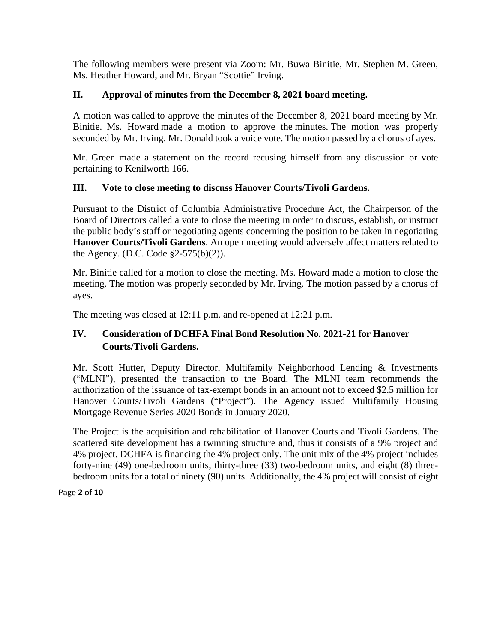The following members were present via Zoom: Mr. Buwa Binitie, Mr. Stephen M. Green, Ms. Heather Howard, and Mr. Bryan "Scottie" Irving.

## **II. Approval of minutes from the December 8, 2021 board meeting.**

A motion was called to approve the minutes of the December 8, 2021 board meeting by Mr. Binitie. Ms. Howard made a motion to approve the minutes. The motion was properly seconded by Mr. Irving. Mr. Donald took a voice vote. The motion passed by a chorus of ayes.

Mr. Green made a statement on the record recusing himself from any discussion or vote pertaining to Kenilworth 166.

## **III. Vote to close meeting to discuss Hanover Courts/Tivoli Gardens.**

Pursuant to the District of Columbia Administrative Procedure Act, the Chairperson of the Board of Directors called a vote to close the meeting in order to discuss, establish, or instruct the public body's staff or negotiating agents concerning the position to be taken in negotiating **Hanover Courts/Tivoli Gardens**. An open meeting would adversely affect matters related to the Agency. (D.C. Code §2-575(b)(2)).

Mr. Binitie called for a motion to close the meeting. Ms. Howard made a motion to close the meeting. The motion was properly seconded by Mr. Irving. The motion passed by a chorus of ayes.

The meeting was closed at 12:11 p.m. and re-opened at 12:21 p.m.

## **IV. Consideration of DCHFA Final Bond Resolution No. 2021-21 for Hanover Courts/Tivoli Gardens.**

Mr. Scott Hutter, Deputy Director, Multifamily Neighborhood Lending & Investments ("MLNI"), presented the transaction to the Board. The MLNI team recommends the authorization of the issuance of tax-exempt bonds in an amount not to exceed \$2.5 million for Hanover Courts/Tivoli Gardens ("Project"). The Agency issued Multifamily Housing Mortgage Revenue Series 2020 Bonds in January 2020.

The Project is the acquisition and rehabilitation of Hanover Courts and Tivoli Gardens. The scattered site development has a twinning structure and, thus it consists of a 9% project and 4% project. DCHFA is financing the 4% project only. The unit mix of the 4% project includes forty-nine (49) one-bedroom units, thirty-three (33) two-bedroom units, and eight (8) threebedroom units for a total of ninety (90) units. Additionally, the 4% project will consist of eight

Page **2** of **10**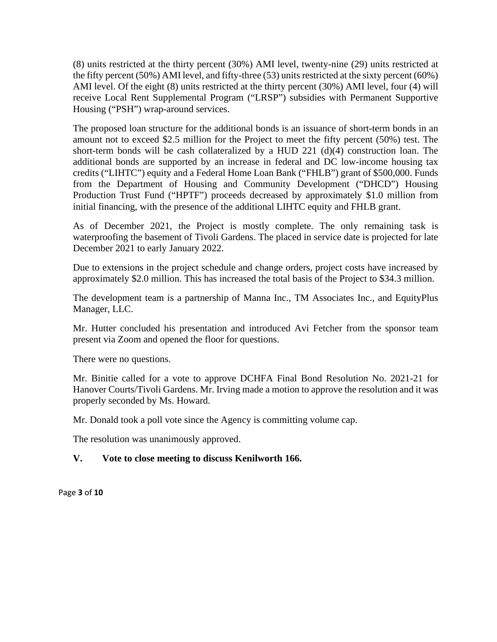(8) units restricted at the thirty percent (30%) AMI level, twenty-nine (29) units restricted at the fifty percent (50%) AMI level, and fifty-three (53) units restricted at the sixty percent (60%) AMI level. Of the eight (8) units restricted at the thirty percent (30%) AMI level, four (4) will receive Local Rent Supplemental Program ("LRSP") subsidies with Permanent Supportive Housing ("PSH") wrap-around services.

The proposed loan structure for the additional bonds is an issuance of short-term bonds in an amount not to exceed \$2.5 million for the Project to meet the fifty percent (50%) test. The short-term bonds will be cash collateralized by a HUD 221 (d)(4) construction loan. The additional bonds are supported by an increase in federal and DC low-income housing tax credits ("LIHTC") equity and a Federal Home Loan Bank ("FHLB") grant of \$500,000. Funds from the Department of Housing and Community Development ("DHCD") Housing Production Trust Fund ("HPTF") proceeds decreased by approximately \$1.0 million from initial financing, with the presence of the additional LIHTC equity and FHLB grant.

As of December 2021, the Project is mostly complete. The only remaining task is waterproofing the basement of Tivoli Gardens. The placed in service date is projected for late December 2021 to early January 2022.

Due to extensions in the project schedule and change orders, project costs have increased by approximately \$2.0 million. This has increased the total basis of the Project to \$34.3 million.

The development team is a partnership of Manna Inc., TM Associates Inc., and EquityPlus Manager, LLC.

Mr. Hutter concluded his presentation and introduced Avi Fetcher from the sponsor team present via Zoom and opened the floor for questions.

There were no questions.

Mr. Binitie called for a vote to approve DCHFA Final Bond Resolution No. 2021-21 for Hanover Courts/Tivoli Gardens. Mr. Irving made a motion to approve the resolution and it was properly seconded by Ms. Howard.

Mr. Donald took a poll vote since the Agency is committing volume cap.

The resolution was unanimously approved.

## **V. Vote to close meeting to discuss Kenilworth 166.**

Page **3** of **10**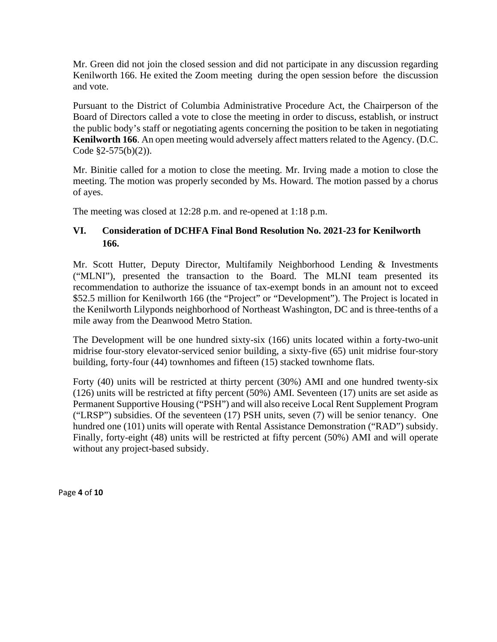Mr. Green did not join the closed session and did not participate in any discussion regarding Kenilworth 166. He exited the Zoom meeting during the open session before the discussion and vote.

Pursuant to the District of Columbia Administrative Procedure Act, the Chairperson of the Board of Directors called a vote to close the meeting in order to discuss, establish, or instruct the public body's staff or negotiating agents concerning the position to be taken in negotiating **Kenilworth 166**. An open meeting would adversely affect matters related to the Agency. (D.C. Code §2-575(b)(2)).

Mr. Binitie called for a motion to close the meeting. Mr. Irving made a motion to close the meeting. The motion was properly seconded by Ms. Howard. The motion passed by a chorus of ayes.

The meeting was closed at 12:28 p.m. and re-opened at 1:18 p.m.

## **VI. Consideration of DCHFA Final Bond Resolution No. 2021-23 for Kenilworth 166.**

Mr. Scott Hutter, Deputy Director, Multifamily Neighborhood Lending & Investments ("MLNI"), presented the transaction to the Board. The MLNI team presented its recommendation to authorize the issuance of tax-exempt bonds in an amount not to exceed \$52.5 million for Kenilworth 166 (the "Project" or "Development"). The Project is located in the Kenilworth Lilyponds neighborhood of Northeast Washington, DC and is three-tenths of a mile away from the Deanwood Metro Station.

The Development will be one hundred sixty-six (166) units located within a forty-two-unit midrise four-story elevator-serviced senior building, a sixty-five (65) unit midrise four-story building, forty-four (44) townhomes and fifteen (15) stacked townhome flats.

Forty (40) units will be restricted at thirty percent (30%) AMI and one hundred twenty-six (126) units will be restricted at fifty percent (50%) AMI. Seventeen (17) units are set aside as Permanent Supportive Housing ("PSH") and will also receive Local Rent Supplement Program ("LRSP") subsidies. Of the seventeen (17) PSH units, seven (7) will be senior tenancy. One hundred one (101) units will operate with Rental Assistance Demonstration ("RAD") subsidy. Finally, forty-eight (48) units will be restricted at fifty percent (50%) AMI and will operate without any project-based subsidy.

Page **4** of **10**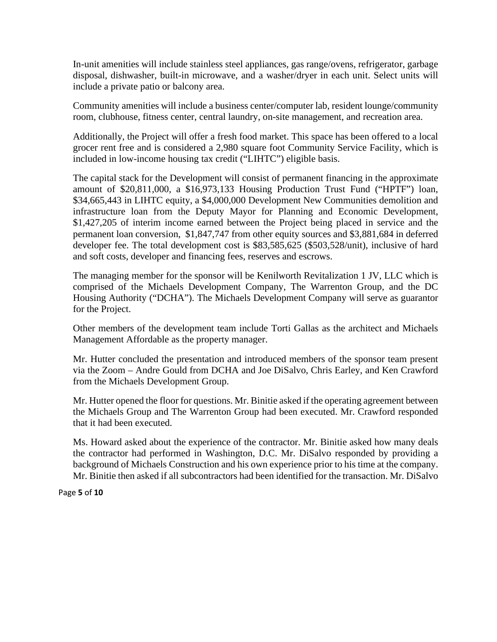In-unit amenities will include stainless steel appliances, gas range/ovens, refrigerator, garbage disposal, dishwasher, built-in microwave, and a washer/dryer in each unit. Select units will include a private patio or balcony area.

Community amenities will include a business center/computer lab, resident lounge/community room, clubhouse, fitness center, central laundry, on-site management, and recreation area.

Additionally, the Project will offer a fresh food market. This space has been offered to a local grocer rent free and is considered a 2,980 square foot Community Service Facility, which is included in low-income housing tax credit ("LIHTC") eligible basis.

The capital stack for the Development will consist of permanent financing in the approximate amount of \$20,811,000, a \$16,973,133 Housing Production Trust Fund ("HPTF") loan, \$34,665,443 in LIHTC equity, a \$4,000,000 Development New Communities demolition and infrastructure loan from the Deputy Mayor for Planning and Economic Development, \$1,427,205 of interim income earned between the Project being placed in service and the permanent loan conversion, \$1,847,747 from other equity sources and \$3,881,684 in deferred developer fee. The total development cost is \$83,585,625 (\$503,528/unit), inclusive of hard and soft costs, developer and financing fees, reserves and escrows.

The managing member for the sponsor will be Kenilworth Revitalization 1 JV, LLC which is comprised of the Michaels Development Company, The Warrenton Group, and the DC Housing Authority ("DCHA"). The Michaels Development Company will serve as guarantor for the Project.

Other members of the development team include Torti Gallas as the architect and Michaels Management Affordable as the property manager.

Mr. Hutter concluded the presentation and introduced members of the sponsor team present via the Zoom – Andre Gould from DCHA and Joe DiSalvo, Chris Earley, and Ken Crawford from the Michaels Development Group.

Mr. Hutter opened the floor for questions. Mr. Binitie asked if the operating agreement between the Michaels Group and The Warrenton Group had been executed. Mr. Crawford responded that it had been executed.

Ms. Howard asked about the experience of the contractor. Mr. Binitie asked how many deals the contractor had performed in Washington, D.C. Mr. DiSalvo responded by providing a background of Michaels Construction and his own experience prior to his time at the company. Mr. Binitie then asked if all subcontractors had been identified for the transaction. Mr. DiSalvo

Page **5** of **10**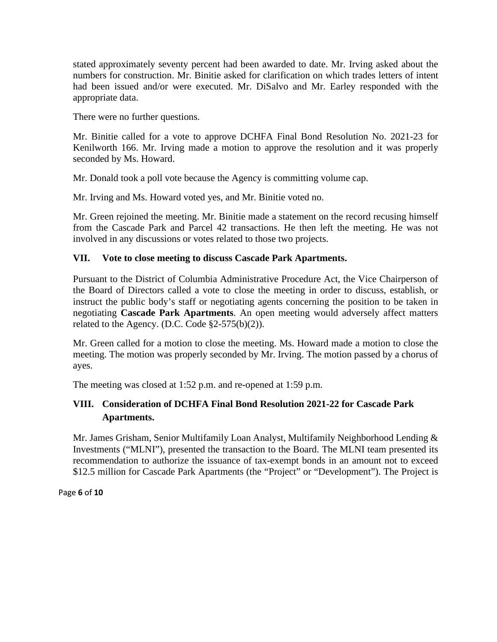stated approximately seventy percent had been awarded to date. Mr. Irving asked about the numbers for construction. Mr. Binitie asked for clarification on which trades letters of intent had been issued and/or were executed. Mr. DiSalvo and Mr. Earley responded with the appropriate data.

There were no further questions.

Mr. Binitie called for a vote to approve DCHFA Final Bond Resolution No. 2021-23 for Kenilworth 166. Mr. Irving made a motion to approve the resolution and it was properly seconded by Ms. Howard.

Mr. Donald took a poll vote because the Agency is committing volume cap.

Mr. Irving and Ms. Howard voted yes, and Mr. Binitie voted no.

Mr. Green rejoined the meeting. Mr. Binitie made a statement on the record recusing himself from the Cascade Park and Parcel 42 transactions. He then left the meeting. He was not involved in any discussions or votes related to those two projects.

#### **VII. Vote to close meeting to discuss Cascade Park Apartments.**

Pursuant to the District of Columbia Administrative Procedure Act, the Vice Chairperson of the Board of Directors called a vote to close the meeting in order to discuss, establish, or instruct the public body's staff or negotiating agents concerning the position to be taken in negotiating **Cascade Park Apartments**. An open meeting would adversely affect matters related to the Agency. (D.C. Code  $\S2-575(b)(2)$ ).

Mr. Green called for a motion to close the meeting. Ms. Howard made a motion to close the meeting. The motion was properly seconded by Mr. Irving. The motion passed by a chorus of ayes.

The meeting was closed at 1:52 p.m. and re-opened at 1:59 p.m.

## **VIII. Consideration of DCHFA Final Bond Resolution 2021-22 for Cascade Park Apartments.**

Mr. James Grisham, Senior Multifamily Loan Analyst, Multifamily Neighborhood Lending & Investments ("MLNI"), presented the transaction to the Board. The MLNI team presented its recommendation to authorize the issuance of tax-exempt bonds in an amount not to exceed \$12.5 million for Cascade Park Apartments (the "Project" or "Development"). The Project is

Page **6** of **10**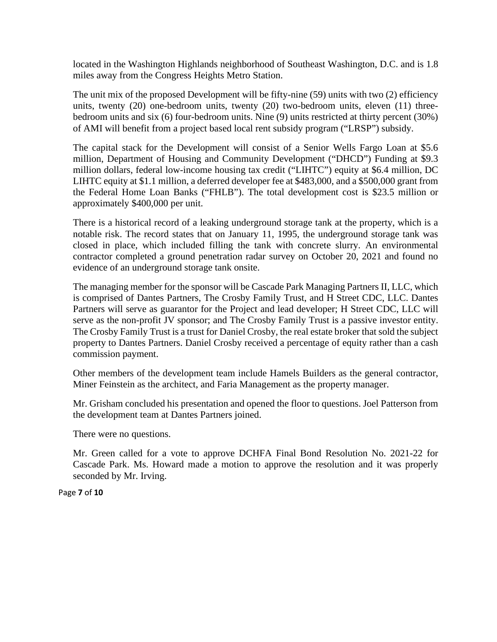located in the Washington Highlands neighborhood of Southeast Washington, D.C. and is 1.8 miles away from the Congress Heights Metro Station.

The unit mix of the proposed Development will be fifty-nine (59) units with two (2) efficiency units, twenty (20) one-bedroom units, twenty (20) two-bedroom units, eleven (11) threebedroom units and six (6) four-bedroom units. Nine (9) units restricted at thirty percent (30%) of AMI will benefit from a project based local rent subsidy program ("LRSP") subsidy.

The capital stack for the Development will consist of a Senior Wells Fargo Loan at \$5.6 million, Department of Housing and Community Development ("DHCD") Funding at \$9.3 million dollars, federal low-income housing tax credit ("LIHTC") equity at \$6.4 million, DC LIHTC equity at \$1.1 million, a deferred developer fee at \$483,000, and a \$500,000 grant from the Federal Home Loan Banks ("FHLB"). The total development cost is \$23.5 million or approximately \$400,000 per unit.

There is a historical record of a leaking underground storage tank at the property, which is a notable risk. The record states that on January 11, 1995, the underground storage tank was closed in place, which included filling the tank with concrete slurry. An environmental contractor completed a ground penetration radar survey on October 20, 2021 and found no evidence of an underground storage tank onsite.

The managing member for the sponsor will be Cascade Park Managing Partners II, LLC, which is comprised of Dantes Partners, The Crosby Family Trust, and H Street CDC, LLC. Dantes Partners will serve as guarantor for the Project and lead developer; H Street CDC, LLC will serve as the non-profit JV sponsor; and The Crosby Family Trust is a passive investor entity. The Crosby Family Trust is a trust for Daniel Crosby, the real estate broker that sold the subject property to Dantes Partners. Daniel Crosby received a percentage of equity rather than a cash commission payment.

Other members of the development team include Hamels Builders as the general contractor, Miner Feinstein as the architect, and Faria Management as the property manager.

Mr. Grisham concluded his presentation and opened the floor to questions. Joel Patterson from the development team at Dantes Partners joined.

There were no questions.

Mr. Green called for a vote to approve DCHFA Final Bond Resolution No. 2021-22 for Cascade Park. Ms. Howard made a motion to approve the resolution and it was properly seconded by Mr. Irving.

Page **7** of **10**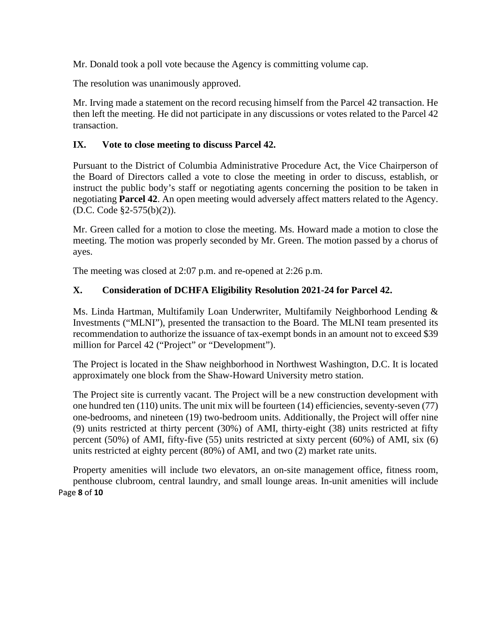Mr. Donald took a poll vote because the Agency is committing volume cap.

The resolution was unanimously approved.

Mr. Irving made a statement on the record recusing himself from the Parcel 42 transaction. He then left the meeting. He did not participate in any discussions or votes related to the Parcel 42 transaction.

### **IX. Vote to close meeting to discuss Parcel 42.**

Pursuant to the District of Columbia Administrative Procedure Act, the Vice Chairperson of the Board of Directors called a vote to close the meeting in order to discuss, establish, or instruct the public body's staff or negotiating agents concerning the position to be taken in negotiating **Parcel 42**. An open meeting would adversely affect matters related to the Agency. (D.C. Code §2-575(b)(2)).

Mr. Green called for a motion to close the meeting. Ms. Howard made a motion to close the meeting. The motion was properly seconded by Mr. Green. The motion passed by a chorus of ayes.

The meeting was closed at 2:07 p.m. and re-opened at 2:26 p.m.

## **X. Consideration of DCHFA Eligibility Resolution 2021-24 for Parcel 42.**

Ms. Linda Hartman, Multifamily Loan Underwriter, Multifamily Neighborhood Lending & Investments ("MLNI"), presented the transaction to the Board. The MLNI team presented its recommendation to authorize the issuance of tax-exempt bonds in an amount not to exceed \$39 million for Parcel 42 ("Project" or "Development").

The Project is located in the Shaw neighborhood in Northwest Washington, D.C. It is located approximately one block from the Shaw-Howard University metro station.

The Project site is currently vacant. The Project will be a new construction development with one hundred ten (110) units. The unit mix will be fourteen (14) efficiencies, seventy-seven (77) one-bedrooms, and nineteen (19) two-bedroom units. Additionally, the Project will offer nine (9) units restricted at thirty percent (30%) of AMI, thirty-eight (38) units restricted at fifty percent (50%) of AMI, fifty-five (55) units restricted at sixty percent (60%) of AMI, six (6) units restricted at eighty percent (80%) of AMI, and two (2) market rate units.

Page **8** of **10** Property amenities will include two elevators, an on-site management office, fitness room, penthouse clubroom, central laundry, and small lounge areas. In-unit amenities will include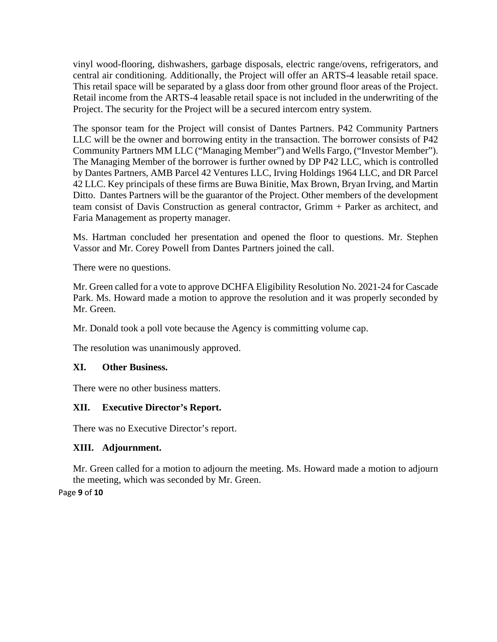vinyl wood-flooring, dishwashers, garbage disposals, electric range/ovens, refrigerators, and central air conditioning. Additionally, the Project will offer an ARTS-4 leasable retail space. This retail space will be separated by a glass door from other ground floor areas of the Project. Retail income from the ARTS-4 leasable retail space is not included in the underwriting of the Project. The security for the Project will be a secured intercom entry system.

The sponsor team for the Project will consist of Dantes Partners. P42 Community Partners LLC will be the owner and borrowing entity in the transaction. The borrower consists of P42 Community Partners MM LLC ("Managing Member") and Wells Fargo, ("Investor Member"). The Managing Member of the borrower is further owned by DP P42 LLC, which is controlled by Dantes Partners, AMB Parcel 42 Ventures LLC, Irving Holdings 1964 LLC, and DR Parcel 42 LLC. Key principals of these firms are Buwa Binitie, Max Brown, Bryan Irving, and Martin Ditto. Dantes Partners will be the guarantor of the Project. Other members of the development team consist of Davis Construction as general contractor, Grimm + Parker as architect, and Faria Management as property manager.

Ms. Hartman concluded her presentation and opened the floor to questions. Mr. Stephen Vassor and Mr. Corey Powell from Dantes Partners joined the call.

There were no questions.

Mr. Green called for a vote to approve DCHFA Eligibility Resolution No. 2021-24 for Cascade Park. Ms. Howard made a motion to approve the resolution and it was properly seconded by Mr. Green.

Mr. Donald took a poll vote because the Agency is committing volume cap.

The resolution was unanimously approved.

## **XI. Other Business.**

There were no other business matters.

## **XII. Executive Director's Report.**

There was no Executive Director's report.

## **XIII. Adjournment.**

Mr. Green called for a motion to adjourn the meeting. Ms. Howard made a motion to adjourn the meeting, which was seconded by Mr. Green.

Page **9** of **10**